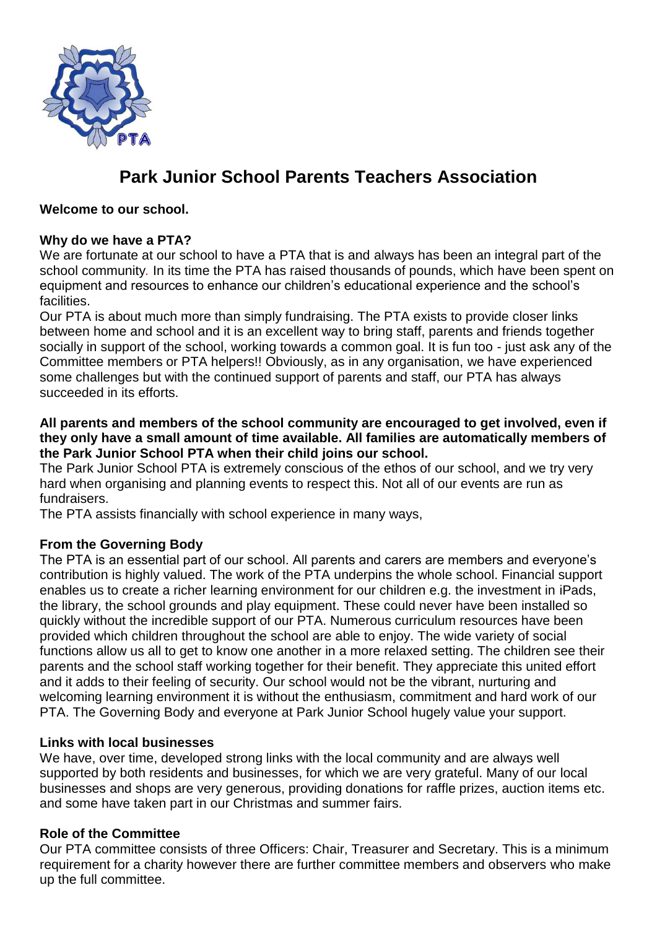

# **Park Junior School Parents Teachers Association**

**Welcome to our school.**

### **Why do we have a PTA?**

We are fortunate at our school to have a PTA that is and always has been an integral part of the school community*.* In its time the PTA has raised thousands of pounds, which have been spent on equipment and resources to enhance our children's educational experience and the school's **facilities** 

Our PTA is about much more than simply fundraising. The PTA exists to provide closer links between home and school and it is an excellent way to bring staff, parents and friends together socially in support of the school, working towards a common goal. It is fun too - just ask any of the Committee members or PTA helpers!! Obviously, as in any organisation, we have experienced some challenges but with the continued support of parents and staff, our PTA has always succeeded in its efforts.

#### **All parents and members of the school community are encouraged to get involved, even if they only have a small amount of time available. All families are automatically members of the Park Junior School PTA when their child joins our school.**

The Park Junior School PTA is extremely conscious of the ethos of our school, and we try very hard when organising and planning events to respect this. Not all of our events are run as fundraisers.

The PTA assists financially with school experience in many ways,

### **From the Governing Body**

The PTA is an essential part of our school. All parents and carers are members and everyone's contribution is highly valued. The work of the PTA underpins the whole school. Financial support enables us to create a richer learning environment for our children e.g. the investment in iPads, the library, the school grounds and play equipment. These could never have been installed so quickly without the incredible support of our PTA. Numerous curriculum resources have been provided which children throughout the school are able to enjoy. The wide variety of social functions allow us all to get to know one another in a more relaxed setting. The children see their parents and the school staff working together for their benefit. They appreciate this united effort and it adds to their feeling of security. Our school would not be the vibrant, nurturing and welcoming learning environment it is without the enthusiasm, commitment and hard work of our PTA. The Governing Body and everyone at Park Junior School hugely value your support.

#### **Links with local businesses**

We have, over time, developed strong links with the local community and are always well supported by both residents and businesses, for which we are very grateful. Many of our local businesses and shops are very generous, providing donations for raffle prizes, auction items etc. and some have taken part in our Christmas and summer fairs.

### **Role of the Committee**

Our PTA committee consists of three Officers: Chair, Treasurer and Secretary. This is a minimum requirement for a charity however there are further committee members and observers who make up the full committee.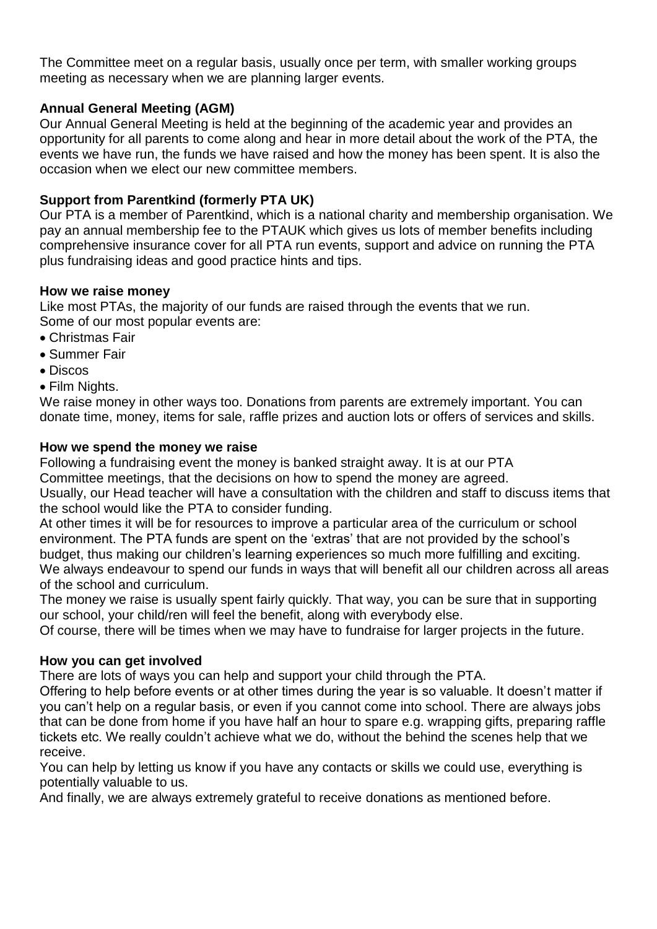The Committee meet on a regular basis, usually once per term, with smaller working groups meeting as necessary when we are planning larger events.

## **Annual General Meeting (AGM)**

Our Annual General Meeting is held at the beginning of the academic year and provides an opportunity for all parents to come along and hear in more detail about the work of the PTA*,* the events we have run, the funds we have raised and how the money has been spent. It is also the occasion when we elect our new committee members.

## **Support from Parentkind (formerly PTA UK)**

Our PTA is a member of Parentkind, which is a national charity and membership organisation. We pay an annual membership fee to the PTAUK which gives us lots of member benefits including comprehensive insurance cover for all PTA run events, support and advice on running the PTA plus fundraising ideas and good practice hints and tips.

#### **How we raise money**

Like most PTAs, the majority of our funds are raised through the events that we run. Some of our most popular events are:

- Christmas Fair
- Summer Fair
- Discos
- Film Nights.

We raise money in other ways too. Donations from parents are extremely important. You can donate time, money, items for sale, raffle prizes and auction lots or offers of services and skills.

#### **How we spend the money we raise**

Following a fundraising event the money is banked straight away. It is at our PTA Committee meetings, that the decisions on how to spend the money are agreed. Usually, our Head teacher will have a consultation with the children and staff to discuss items that the school would like the PTA to consider funding.

At other times it will be for resources to improve a particular area of the curriculum or school environment. The PTA funds are spent on the 'extras' that are not provided by the school's budget, thus making our children's learning experiences so much more fulfilling and exciting. We always endeavour to spend our funds in ways that will benefit all our children across all areas of the school and curriculum.

The money we raise is usually spent fairly quickly. That way, you can be sure that in supporting our school, your child/ren will feel the benefit, along with everybody else.

Of course, there will be times when we may have to fundraise for larger projects in the future.

### **How you can get involved**

There are lots of ways you can help and support your child through the PTA.

Offering to help before events or at other times during the year is so valuable. It doesn't matter if you can't help on a regular basis, or even if you cannot come into school. There are always jobs that can be done from home if you have half an hour to spare e.g. wrapping gifts, preparing raffle tickets etc. We really couldn't achieve what we do, without the behind the scenes help that we receive.

You can help by letting us know if you have any contacts or skills we could use, everything is potentially valuable to us.

And finally, we are always extremely grateful to receive donations as mentioned before.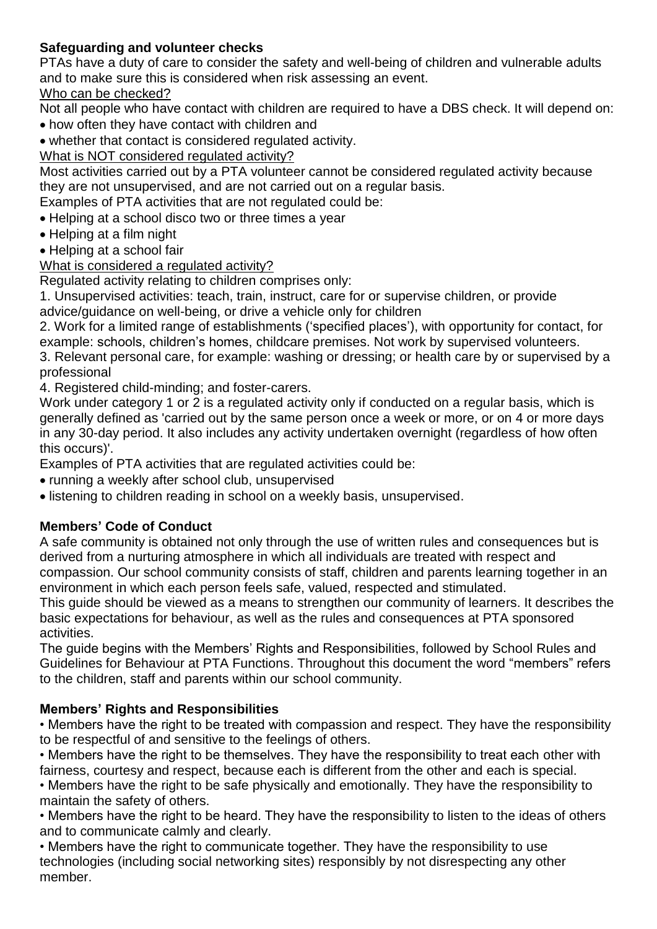## **Safeguarding and volunteer checks**

PTAs have a duty of care to consider the safety and well-being of children and vulnerable adults and to make sure this is considered when risk assessing an event.

### Who can be checked?

Not all people who have contact with children are required to have a DBS check. It will depend on:

- how often they have contact with children and
- whether that contact is considered regulated activity.

## What is NOT considered regulated activity?

Most activities carried out by a PTA volunteer cannot be considered regulated activity because they are not unsupervised, and are not carried out on a regular basis.

Examples of PTA activities that are not regulated could be:

- Helping at a school disco two or three times a year
- Helping at a film night
- Helping at a school fair

## What is considered a regulated activity?

Regulated activity relating to children comprises only:

1. Unsupervised activities: teach, train, instruct, care for or supervise children, or provide advice/guidance on well-being, or drive a vehicle only for children

2. Work for a limited range of establishments ('specified places'), with opportunity for contact, for example: schools, children's homes, childcare premises. Not work by supervised volunteers.

3. Relevant personal care, for example: washing or dressing; or health care by or supervised by a professional

4. Registered child-minding; and foster-carers.

Work under category 1 or 2 is a regulated activity only if conducted on a regular basis, which is generally defined as 'carried out by the same person once a week or more, or on 4 or more days in any 30-day period. It also includes any activity undertaken overnight (regardless of how often this occurs)'.

Examples of PTA activities that are regulated activities could be:

- running a weekly after school club, unsupervised
- listening to children reading in school on a weekly basis, unsupervised.

# **Members' Code of Conduct**

A safe community is obtained not only through the use of written rules and consequences but is derived from a nurturing atmosphere in which all individuals are treated with respect and compassion. Our school community consists of staff, children and parents learning together in an environment in which each person feels safe, valued, respected and stimulated.

This guide should be viewed as a means to strengthen our community of learners. It describes the basic expectations for behaviour, as well as the rules and consequences at PTA sponsored activities.

The guide begins with the Members' Rights and Responsibilities, followed by School Rules and Guidelines for Behaviour at PTA Functions. Throughout this document the word "members" refers to the children, staff and parents within our school community.

# **Members' Rights and Responsibilities**

• Members have the right to be treated with compassion and respect. They have the responsibility to be respectful of and sensitive to the feelings of others.

• Members have the right to be themselves. They have the responsibility to treat each other with fairness, courtesy and respect, because each is different from the other and each is special.

• Members have the right to be safe physically and emotionally. They have the responsibility to maintain the safety of others.

• Members have the right to be heard. They have the responsibility to listen to the ideas of others and to communicate calmly and clearly.

• Members have the right to communicate together. They have the responsibility to use technologies (including social networking sites) responsibly by not disrespecting any other member.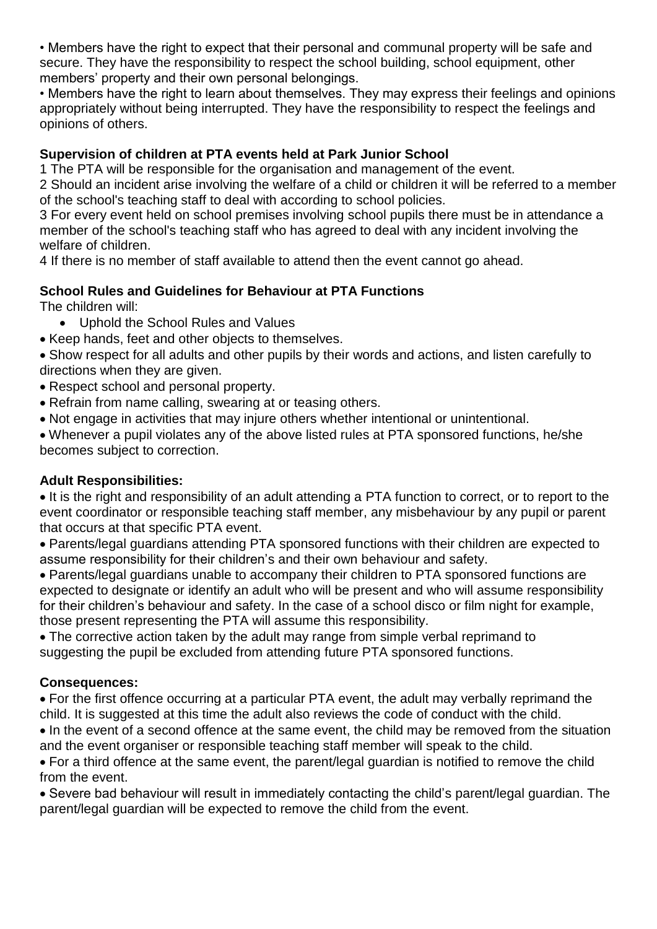• Members have the right to expect that their personal and communal property will be safe and secure. They have the responsibility to respect the school building, school equipment, other members' property and their own personal belongings.

• Members have the right to learn about themselves. They may express their feelings and opinions appropriately without being interrupted. They have the responsibility to respect the feelings and opinions of others.

## **Supervision of children at PTA events held at Park Junior School**

1 The PTA will be responsible for the organisation and management of the event.

2 Should an incident arise involving the welfare of a child or children it will be referred to a member of the school's teaching staff to deal with according to school policies.

3 For every event held on school premises involving school pupils there must be in attendance a member of the school's teaching staff who has agreed to deal with any incident involving the welfare of children.

4 If there is no member of staff available to attend then the event cannot go ahead.

## **School Rules and Guidelines for Behaviour at PTA Functions**

The children will:

- Uphold the School Rules and Values
- Keep hands, feet and other objects to themselves.
- Show respect for all adults and other pupils by their words and actions, and listen carefully to directions when they are given.
- Respect school and personal property.
- Refrain from name calling, swearing at or teasing others.
- Not engage in activities that may injure others whether intentional or unintentional.

• Whenever a pupil violates any of the above listed rules at PTA sponsored functions, he/she becomes subject to correction.

### **Adult Responsibilities:**

• It is the right and responsibility of an adult attending a PTA function to correct, or to report to the event coordinator or responsible teaching staff member, any misbehaviour by any pupil or parent that occurs at that specific PTA event.

• Parents/legal guardians attending PTA sponsored functions with their children are expected to assume responsibility for their children's and their own behaviour and safety.

• Parents/legal guardians unable to accompany their children to PTA sponsored functions are expected to designate or identify an adult who will be present and who will assume responsibility for their children's behaviour and safety. In the case of a school disco or film night for example, those present representing the PTA will assume this responsibility.

• The corrective action taken by the adult may range from simple verbal reprimand to suggesting the pupil be excluded from attending future PTA sponsored functions.

# **Consequences:**

• For the first offence occurring at a particular PTA event, the adult may verbally reprimand the child. It is suggested at this time the adult also reviews the code of conduct with the child.

• In the event of a second offence at the same event, the child may be removed from the situation and the event organiser or responsible teaching staff member will speak to the child.

• For a third offence at the same event, the parent/legal guardian is notified to remove the child from the event.

• Severe bad behaviour will result in immediately contacting the child's parent/legal guardian. The parent/legal guardian will be expected to remove the child from the event.